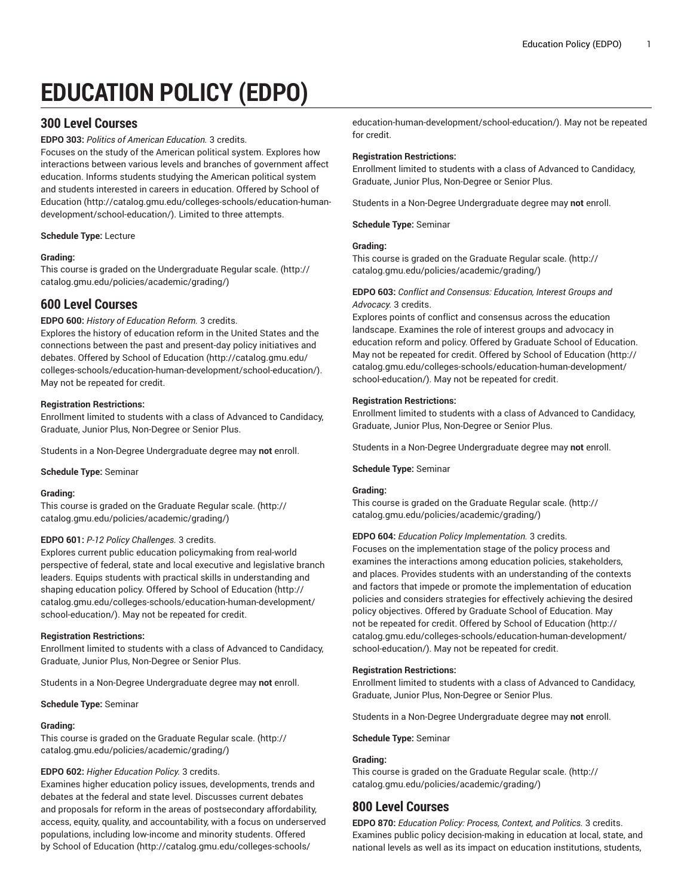# **EDUCATION POLICY (EDPO)**

## **300 Level Courses**

**EDPO 303:** *Politics of American Education.* 3 credits.

Focuses on the study of the American political system. Explores how interactions between various levels and branches of government affect education. Informs students studying the American political system and students interested in careers in education. Offered by [School of](http://catalog.gmu.edu/colleges-schools/education-human-development/school-education/) [Education](http://catalog.gmu.edu/colleges-schools/education-human-development/school-education/) ([http://catalog.gmu.edu/colleges-schools/education-human](http://catalog.gmu.edu/colleges-schools/education-human-development/school-education/)[development/school-education/](http://catalog.gmu.edu/colleges-schools/education-human-development/school-education/)). Limited to three attempts.

**Schedule Type:** Lecture

#### **Grading:**

This course is graded on the [Undergraduate](http://catalog.gmu.edu/policies/academic/grading/) Regular scale. ([http://](http://catalog.gmu.edu/policies/academic/grading/) [catalog.gmu.edu/policies/academic/grading/\)](http://catalog.gmu.edu/policies/academic/grading/)

## **600 Level Courses**

#### **EDPO 600:** *History of Education Reform.* 3 credits.

Explores the history of education reform in the United States and the connections between the past and present-day policy initiatives and debates. Offered by School of [Education](http://catalog.gmu.edu/colleges-schools/education-human-development/school-education/) ([http://catalog.gmu.edu/](http://catalog.gmu.edu/colleges-schools/education-human-development/school-education/) [colleges-schools/education-human-development/school-education/](http://catalog.gmu.edu/colleges-schools/education-human-development/school-education/)). May not be repeated for credit.

#### **Registration Restrictions:**

Enrollment limited to students with a class of Advanced to Candidacy, Graduate, Junior Plus, Non-Degree or Senior Plus.

Students in a Non-Degree Undergraduate degree may **not** enroll.

**Schedule Type:** Seminar

#### **Grading:**

This course is graded on the [Graduate Regular scale.](http://catalog.gmu.edu/policies/academic/grading/) [\(http://](http://catalog.gmu.edu/policies/academic/grading/) [catalog.gmu.edu/policies/academic/grading/\)](http://catalog.gmu.edu/policies/academic/grading/)

#### **EDPO 601:** *P-12 Policy Challenges.* 3 credits.

Explores current public education policymaking from real-world perspective of federal, state and local executive and legislative branch leaders. Equips students with practical skills in understanding and shaping education policy. Offered by School of [Education \(http://](http://catalog.gmu.edu/colleges-schools/education-human-development/school-education/) [catalog.gmu.edu/colleges-schools/education-human-development/](http://catalog.gmu.edu/colleges-schools/education-human-development/school-education/) [school-education/](http://catalog.gmu.edu/colleges-schools/education-human-development/school-education/)). May not be repeated for credit.

#### **Registration Restrictions:**

Enrollment limited to students with a class of Advanced to Candidacy, Graduate, Junior Plus, Non-Degree or Senior Plus.

Students in a Non-Degree Undergraduate degree may **not** enroll.

**Schedule Type:** Seminar

#### **Grading:**

This course is graded on the [Graduate Regular scale.](http://catalog.gmu.edu/policies/academic/grading/) [\(http://](http://catalog.gmu.edu/policies/academic/grading/) [catalog.gmu.edu/policies/academic/grading/\)](http://catalog.gmu.edu/policies/academic/grading/)

#### **EDPO 602:** *Higher Education Policy.* 3 credits.

Examines higher education policy issues, developments, trends and debates at the federal and state level. Discusses current debates and proposals for reform in the areas of postsecondary affordability, access, equity, quality, and accountability, with a focus on underserved populations, including low-income and minority students. Offered by School of [Education \(http://catalog.gmu.edu/colleges-schools/](http://catalog.gmu.edu/colleges-schools/education-human-development/school-education/)

[education-human-development/school-education/\)](http://catalog.gmu.edu/colleges-schools/education-human-development/school-education/). May not be repeated for credit.

#### **Registration Restrictions:**

Enrollment limited to students with a class of Advanced to Candidacy, Graduate, Junior Plus, Non-Degree or Senior Plus.

Students in a Non-Degree Undergraduate degree may **not** enroll.

**Schedule Type:** Seminar

#### **Grading:**

This course is graded on the [Graduate Regular scale.](http://catalog.gmu.edu/policies/academic/grading/) ([http://](http://catalog.gmu.edu/policies/academic/grading/) [catalog.gmu.edu/policies/academic/grading/](http://catalog.gmu.edu/policies/academic/grading/))

#### **EDPO 603:** *Conflict and Consensus: Education, Interest Groups and Advocacy.* 3 credits.

Explores points of conflict and consensus across the education landscape. Examines the role of interest groups and advocacy in education reform and policy. Offered by Graduate School of Education. May not be repeated for credit. Offered by School of [Education \(http://](http://catalog.gmu.edu/colleges-schools/education-human-development/school-education/) [catalog.gmu.edu/colleges-schools/education-human-development/](http://catalog.gmu.edu/colleges-schools/education-human-development/school-education/) [school-education/\)](http://catalog.gmu.edu/colleges-schools/education-human-development/school-education/). May not be repeated for credit.

#### **Registration Restrictions:**

Enrollment limited to students with a class of Advanced to Candidacy, Graduate, Junior Plus, Non-Degree or Senior Plus.

Students in a Non-Degree Undergraduate degree may **not** enroll.

#### **Schedule Type:** Seminar

#### **Grading:**

This course is graded on the [Graduate Regular scale.](http://catalog.gmu.edu/policies/academic/grading/) ([http://](http://catalog.gmu.edu/policies/academic/grading/) [catalog.gmu.edu/policies/academic/grading/](http://catalog.gmu.edu/policies/academic/grading/))

**EDPO 604:** *Education Policy Implementation.* 3 credits.

Focuses on the implementation stage of the policy process and examines the interactions among education policies, stakeholders, and places. Provides students with an understanding of the contexts and factors that impede or promote the implementation of education policies and considers strategies for effectively achieving the desired policy objectives. Offered by Graduate School of Education. May not be repeated for credit. Offered by School of [Education](http://catalog.gmu.edu/colleges-schools/education-human-development/school-education/) [\(http://](http://catalog.gmu.edu/colleges-schools/education-human-development/school-education/) [catalog.gmu.edu/colleges-schools/education-human-development/](http://catalog.gmu.edu/colleges-schools/education-human-development/school-education/) [school-education/\)](http://catalog.gmu.edu/colleges-schools/education-human-development/school-education/). May not be repeated for credit.

#### **Registration Restrictions:**

Enrollment limited to students with a class of Advanced to Candidacy, Graduate, Junior Plus, Non-Degree or Senior Plus.

Students in a Non-Degree Undergraduate degree may **not** enroll.

**Schedule Type:** Seminar

#### **Grading:**

This course is graded on the [Graduate Regular scale.](http://catalog.gmu.edu/policies/academic/grading/) ([http://](http://catalog.gmu.edu/policies/academic/grading/) [catalog.gmu.edu/policies/academic/grading/](http://catalog.gmu.edu/policies/academic/grading/))

### **800 Level Courses**

**EDPO 870:** *Education Policy: Process, Context, and Politics.* 3 credits. Examines public policy decision-making in education at local, state, and national levels as well as its impact on education institutions, students,